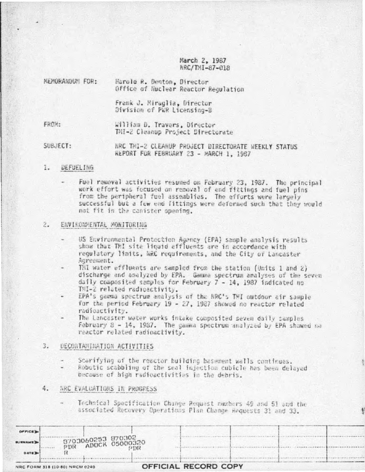March 2, 1987 NRC/TMI-87-018

| <b>NEMORANOUN FOR:</b> | Harold R. Denton, Director<br>Office of Nuclear Reactor Regulation |
|------------------------|--------------------------------------------------------------------|
|                        | Frank J. Miraglia, Director<br>Division of PWR Licensing-B         |
| FROM:                  | William D. Travers, Director<br>TMI-2 Cleanup Project Directorate  |

SUBJECT: HRC TMI-2 CLEANUP PROJECT DIRECTORATE WEEKLY STATUS REPORT FOR FEBRUARY 23 - MARCH 1, 1987

#### L. **DEFUELTNG**

Fuel removal activities resumed on February 23, 1987. The principal work effort was focused on removal of end fittings and fuel pins from the peripheral fuel assemblies. The efforts were largely successful but a few end fittings were deformed such that they would not fit in the canister opening.

### $2.$ ENVIRONMENTAL MONITORING

US Environmental Protection Agency (EPA) sample analysis results show that TMI site liquid effluents are in accordance with regulatory limits, NRC requirements, and the City of Lancaster Agreement.

TMI water effluents are sampled from the station (Units 1 and 2) discharge and analyzed by EPA. Gamma spectrum analyses of the seven daily composited samples for February 7 - 14, 1987 indicated no TMI-2 related radioactivity.

- EPA's gamma spectrum analysis of the NRC's TMI outdoor air sample for the period February 19 - 27, 1987 showed no reactor related radioactivity.
- The Lancaster water works intake composited seven daily samples February 8 - 14, 1987. The gamma spectrum analyzed by EPA showed no reactor related radioactivity.

# 3. DECORTAMINATION ACTIVITIES

- Scarifying of the reactor building basement walls continues.
- Robotic scabbling of the seal injection cubicle has been delayed because of high radioactivities in the debris.

## 4. NRC EVALUATIONS IN PROGRESS

Technical Specification Change Request numbers 49 and 51 and the - associated Recovery Operations Plan Change Requests 31 and 33.

| OPTICE                                  |  |  |                                         |                      |  |  |
|-----------------------------------------|--|--|-----------------------------------------|----------------------|--|--|
| <b>BURNAME</b>                          |  |  | 3703060253 870302<br>PDR ADOCK 05000320 |                      |  |  |
| DATE D                                  |  |  | PDR                                     |                      |  |  |
| <b>MECODE BUSINESS IN A SALARA CASA</b> |  |  |                                         | OFFICIAL RECORD CORY |  |  |

 $1.1.1.1.1.1.1$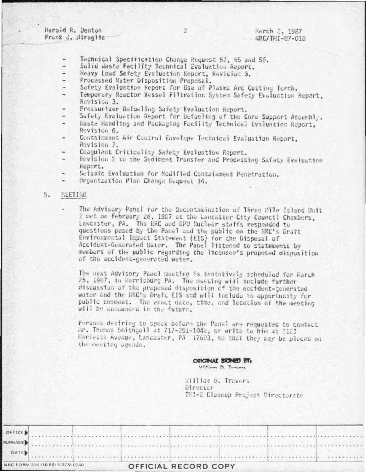Harold R. Denton Frank J. Miragliz

- Technical Specification Change Request 52, 55 and 56.
- Solid Waste Facility Technical Evaluation Report.
- Heavy Load Safety Evaluation Report, Revision 3.  $\rightarrow$
- Processed Water Disposition Proposal.
- Safety Evaluation Report for Use of Plasma Arc Cutting Torch.  $\sim$
- Temporary Reactor Vessel Filtration System Safety Evaluation Report, Revision 3.
- Pressurizer Defueling Safety Evaluation Report.
- Safety Evaluation Report for Defueling of the Core Support Assembly.
- Waste Handling and Packaging Facility Technical Evaluation Report, Revision 6.
- Containment Air Control Envelope Technical Evaluation Report, Revision 7.
- Coagulant Criticality Safety Evaluation Report.
- Revision 2 to the Sediment Transfer and Processing Safety Evaluation Report.
- Seismic Evaluation for Modified Containment Penetration.
- Organization Plan Change Request 14.

## $5.$ **NEETING**

The Advisory Panel for the Decontamination of Three Hile Island Unit 2 met on February 26, 1987 at the Lancaster City Council Chambers, Lancaster, PA. The NRC and GPU Nuclear staffs responded to questions posed by the Panel and the public on the NRC's Draft Environmental Impact Statement (EIS) for the Disposal of Accident-Generated Water. The Panel listened to statements by members of the public regarding the licensee's proposed disposition of the accident-generated water.

The next Advisory Panel meeting is tentatively scheduled for March 25, 1987, in Harrisburg PA. The meeting will include further discussion of the proposed disposition of the accident-generated water and the NRC's Draft EIS and will include an opportunity for public comment. The exact date, time, and location of the meeting will be enhounced in the future.

Persons desiring to speak before the Panel are requested to contact Wr. Thomas Smithgall at 717-291-1042, or write to him at 2123 Marietta Avenue, Lancaster, PA 17603, so that they may be placed on the meeting agenda.

# ORIGINAL SIGNED BY, William D. Travers

William D. Travers Director TMI-2 Cleanup Project Directorate

| NRC FORM 318 (10 B0) NRCM 0240 |  |  |  |  |  |  |  | OFFICIAL RECORD COPY |  |  |  |  |  |  |  |  |  |  |  |
|--------------------------------|--|--|--|--|--|--|--|----------------------|--|--|--|--|--|--|--|--|--|--|--|
| DATE                           |  |  |  |  |  |  |  |                      |  |  |  |  |  |  |  |  |  |  |  |
|                                |  |  |  |  |  |  |  |                      |  |  |  |  |  |  |  |  |  |  |  |
| OFFICE )                       |  |  |  |  |  |  |  |                      |  |  |  |  |  |  |  |  |  |  |  |
|                                |  |  |  |  |  |  |  |                      |  |  |  |  |  |  |  |  |  |  |  |